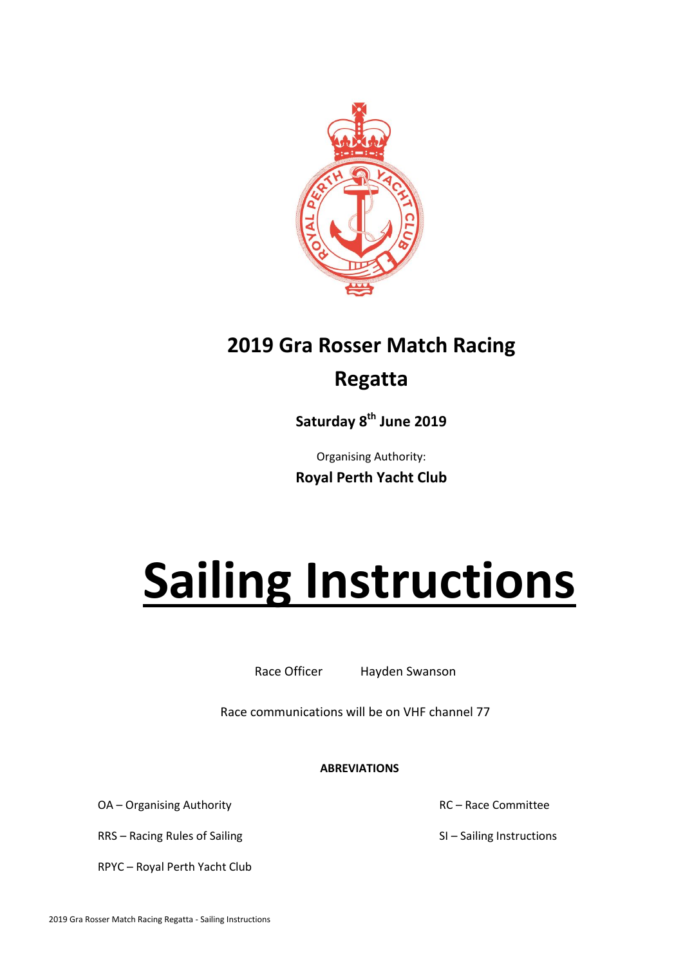

# **2019 Gra Rosser Match Racing Regatta**

**Saturday 8 th June 2019**

Organising Authority: **Royal Perth Yacht Club**

# **Sailing Instructions**

Race Officer Hayden Swanson

Race communications will be on VHF channel 77

**ABREVIATIONS**

OA – Organising Authority **EXACTE 100 AC – Race Committee** 

RRS – Racing Rules of Sailing SI – Sailing Instructions

RPYC – Royal Perth Yacht Club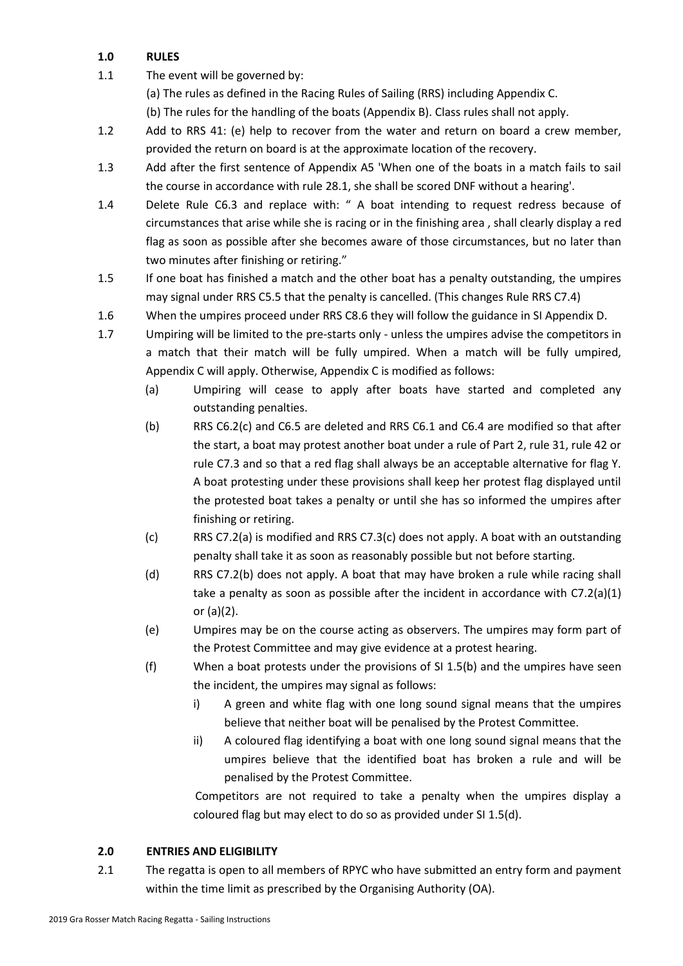# **1.0 RULES**

1.1 The event will be governed by:

(a) The rules as defined in the Racing Rules of Sailing (RRS) including Appendix C.

(b) The rules for the handling of the boats (Appendix B). Class rules shall not apply.

- 1.2 Add to RRS 41: (e) help to recover from the water and return on board a crew member, provided the return on board is at the approximate location of the recovery.
- 1.3 Add after the first sentence of Appendix A5 'When one of the boats in a match fails to sail the course in accordance with rule 28.1, she shall be scored DNF without a hearing'.
- 1.4 Delete Rule C6.3 and replace with: " A boat intending to request redress because of circumstances that arise while she is racing or in the finishing area , shall clearly display a red flag as soon as possible after she becomes aware of those circumstances, but no later than two minutes after finishing or retiring."
- 1.5 If one boat has finished a match and the other boat has a penalty outstanding, the umpires may signal under RRS C5.5 that the penalty is cancelled. (This changes Rule RRS C7.4)
- 1.6 When the umpires proceed under RRS C8.6 they will follow the guidance in SI Appendix D.
- 1.7 Umpiring will be limited to the pre-starts only unless the umpires advise the competitors in a match that their match will be fully umpired. When a match will be fully umpired, Appendix C will apply. Otherwise, Appendix C is modified as follows:
	- (a) Umpiring will cease to apply after boats have started and completed any outstanding penalties.
	- (b) RRS C6.2(c) and C6.5 are deleted and RRS C6.1 and C6.4 are modified so that after the start, a boat may protest another boat under a rule of Part 2, rule 31, rule 42 or rule C7.3 and so that a red flag shall always be an acceptable alternative for flag Y. A boat protesting under these provisions shall keep her protest flag displayed until the protested boat takes a penalty or until she has so informed the umpires after finishing or retiring.
	- (c) RRS C7.2(a) is modified and RRS C7.3(c) does not apply. A boat with an outstanding penalty shall take it as soon as reasonably possible but not before starting.
	- (d) RRS C7.2(b) does not apply. A boat that may have broken a rule while racing shall take a penalty as soon as possible after the incident in accordance with C7.2(a)(1) or (a)(2).
	- (e) Umpires may be on the course acting as observers. The umpires may form part of the Protest Committee and may give evidence at a protest hearing.
	- (f) When a boat protests under the provisions of SI 1.5(b) and the umpires have seen the incident, the umpires may signal as follows:
		- i) A green and white flag with one long sound signal means that the umpires believe that neither boat will be penalised by the Protest Committee.
		- ii) A coloured flag identifying a boat with one long sound signal means that the umpires believe that the identified boat has broken a rule and will be penalised by the Protest Committee.

Competitors are not required to take a penalty when the umpires display a coloured flag but may elect to do so as provided under SI 1.5(d).

# **2.0 ENTRIES AND ELIGIBILITY**

2.1 The regatta is open to all members of RPYC who have submitted an entry form and payment within the time limit as prescribed by the Organising Authority (OA).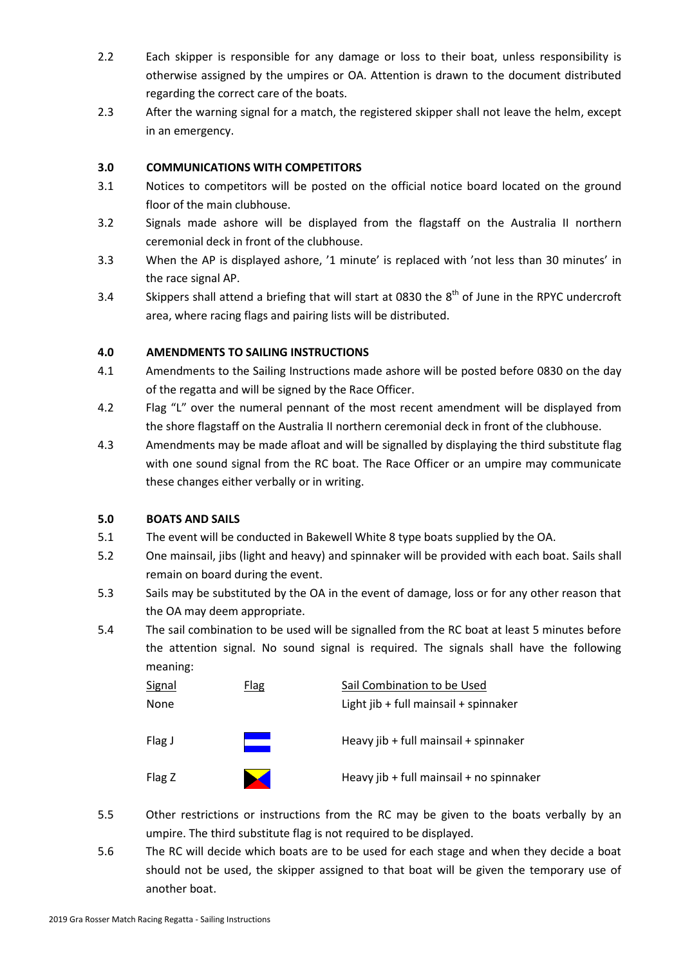- 2.2 Each skipper is responsible for any damage or loss to their boat, unless responsibility is otherwise assigned by the umpires or OA. Attention is drawn to the document distributed regarding the correct care of the boats.
- 2.3 After the warning signal for a match, the registered skipper shall not leave the helm, except in an emergency.

# **3.0 COMMUNICATIONS WITH COMPETITORS**

- 3.1 Notices to competitors will be posted on the official notice board located on the ground floor of the main clubhouse.
- 3.2 Signals made ashore will be displayed from the flagstaff on the Australia II northern ceremonial deck in front of the clubhouse.
- 3.3 When the AP is displayed ashore, '1 minute' is replaced with 'not less than 30 minutes' in the race signal AP.
- 3.4 Skippers shall attend a briefing that will start at 0830 the  $8^{th}$  of June in the RPYC undercroft area, where racing flags and pairing lists will be distributed.

# **4.0 AMENDMENTS TO SAILING INSTRUCTIONS**

- 4.1 Amendments to the Sailing Instructions made ashore will be posted before 0830 on the day of the regatta and will be signed by the Race Officer.
- 4.2 Flag "L" over the numeral pennant of the most recent amendment will be displayed from the shore flagstaff on the Australia II northern ceremonial deck in front of the clubhouse.
- 4.3 Amendments may be made afloat and will be signalled by displaying the third substitute flag with one sound signal from the RC boat. The Race Officer or an umpire may communicate these changes either verbally or in writing.

# **5.0 BOATS AND SAILS**

- 5.1 The event will be conducted in Bakewell White 8 type boats supplied by the OA.
- 5.2 One mainsail, jibs (light and heavy) and spinnaker will be provided with each boat. Sails shall remain on board during the event.
- 5.3 Sails may be substituted by the OA in the event of damage, loss or for any other reason that the OA may deem appropriate.
- 5.4 The sail combination to be used will be signalled from the RC boat at least 5 minutes before the attention signal. No sound signal is required. The signals shall have the following meaning:

| <b>Signal</b> | <b>Flag</b> | Sail Combination to be Used              |  |
|---------------|-------------|------------------------------------------|--|
| None          |             | Light jib + full mainsail + spinnaker    |  |
| Flag J        |             | Heavy jib + full mainsail + spinnaker    |  |
| Flag Z        |             | Heavy jib + full mainsail + no spinnaker |  |

- 5.5 Other restrictions or instructions from the RC may be given to the boats verbally by an umpire. The third substitute flag is not required to be displayed.
- 5.6 The RC will decide which boats are to be used for each stage and when they decide a boat should not be used, the skipper assigned to that boat will be given the temporary use of another boat.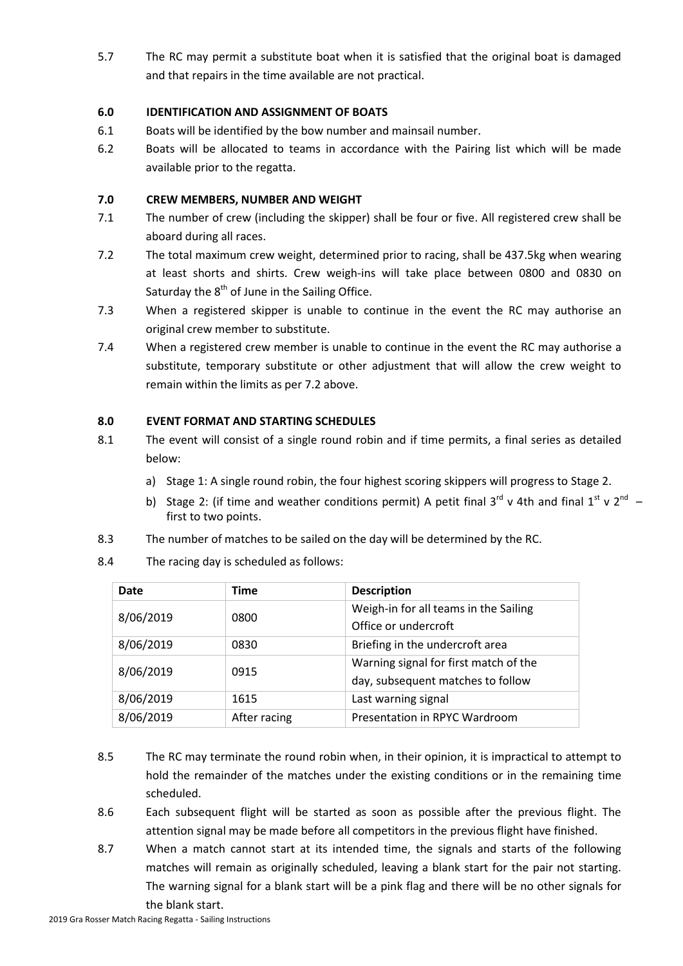5.7 The RC may permit a substitute boat when it is satisfied that the original boat is damaged and that repairs in the time available are not practical.

# **6.0 IDENTIFICATION AND ASSIGNMENT OF BOATS**

- 6.1 Boats will be identified by the bow number and mainsail number.
- 6.2 Boats will be allocated to teams in accordance with the Pairing list which will be made available prior to the regatta.

# **7.0 CREW MEMBERS, NUMBER AND WEIGHT**

- 7.1 The number of crew (including the skipper) shall be four or five. All registered crew shall be aboard during all races.
- 7.2 The total maximum crew weight, determined prior to racing, shall be 437.5kg when wearing at least shorts and shirts. Crew weigh-ins will take place between 0800 and 0830 on Saturday the 8<sup>th</sup> of June in the Sailing Office.
- 7.3 When a registered skipper is unable to continue in the event the RC may authorise an original crew member to substitute.
- 7.4 When a registered crew member is unable to continue in the event the RC may authorise a substitute, temporary substitute or other adjustment that will allow the crew weight to remain within the limits as per 7.2 above.

# **8.0 EVENT FORMAT AND STARTING SCHEDULES**

- 8.1 The event will consist of a single round robin and if time permits, a final series as detailed below:
	- a) Stage 1: A single round robin, the four highest scoring skippers will progress to Stage 2.
	- b) Stage 2: (if time and weather conditions permit) A petit final 3<sup>rd</sup> v 4th and final 1<sup>st</sup> v 2<sup>nd</sup> first to two points.
- 8.3 The number of matches to be sailed on the day will be determined by the RC.
- 8.4 The racing day is scheduled as follows:

| Date      | <b>Time</b>  | <b>Description</b>                    |
|-----------|--------------|---------------------------------------|
| 8/06/2019 | 0800         | Weigh-in for all teams in the Sailing |
|           |              | Office or undercroft                  |
| 8/06/2019 | 0830         | Briefing in the undercroft area       |
| 8/06/2019 | 0915         | Warning signal for first match of the |
|           |              | day, subsequent matches to follow     |
| 8/06/2019 | 1615         | Last warning signal                   |
| 8/06/2019 | After racing | Presentation in RPYC Wardroom         |

- 8.5 The RC may terminate the round robin when, in their opinion, it is impractical to attempt to hold the remainder of the matches under the existing conditions or in the remaining time scheduled.
- 8.6 Each subsequent flight will be started as soon as possible after the previous flight. The attention signal may be made before all competitors in the previous flight have finished.
- 8.7 When a match cannot start at its intended time, the signals and starts of the following matches will remain as originally scheduled, leaving a blank start for the pair not starting. The warning signal for a blank start will be a pink flag and there will be no other signals for the blank start.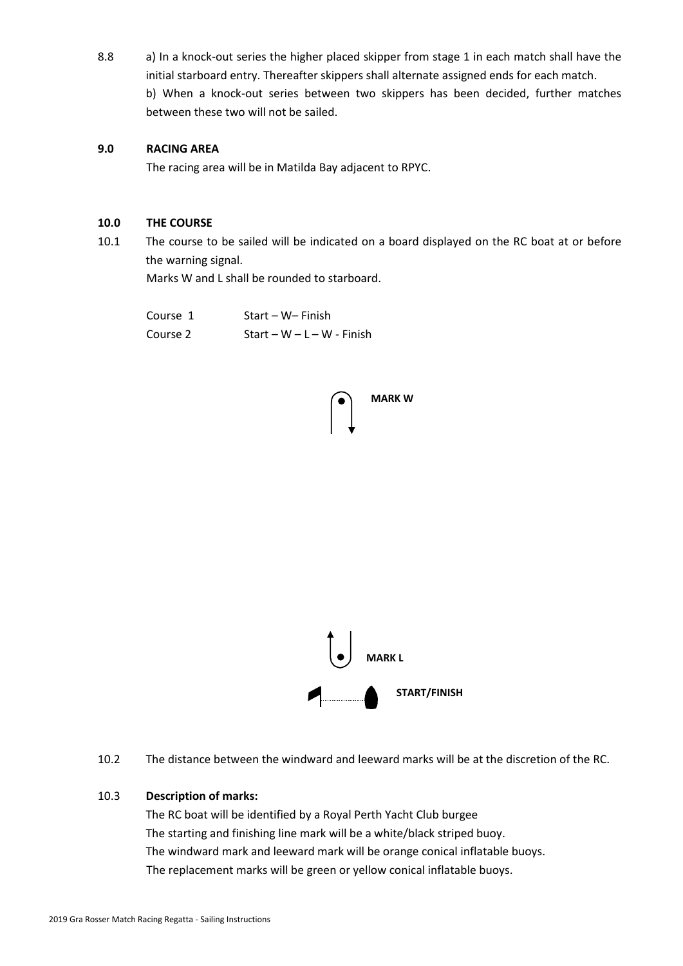8.8 a) In a knock-out series the higher placed skipper from stage 1 in each match shall have the initial starboard entry. Thereafter skippers shall alternate assigned ends for each match. b) When a knock-out series between two skippers has been decided, further matches between these two will not be sailed.

#### **9.0 RACING AREA**

The racing area will be in Matilda Bay adjacent to RPYC.

#### **10.0 THE COURSE**

10.1 The course to be sailed will be indicated on a board displayed on the RC boat at or before the warning signal.

Marks W and L shall be rounded to starboard.

| Course 1 | Start – W– Finish          |
|----------|----------------------------|
| Course 2 | Start – W – L – W - Finish |





10.2 The distance between the windward and leeward marks will be at the discretion of the RC.

#### 10.3 **Description of marks:**

The RC boat will be identified by a Royal Perth Yacht Club burgee The starting and finishing line mark will be a white/black striped buoy. The windward mark and leeward mark will be orange conical inflatable buoys. The replacement marks will be green or yellow conical inflatable buoys.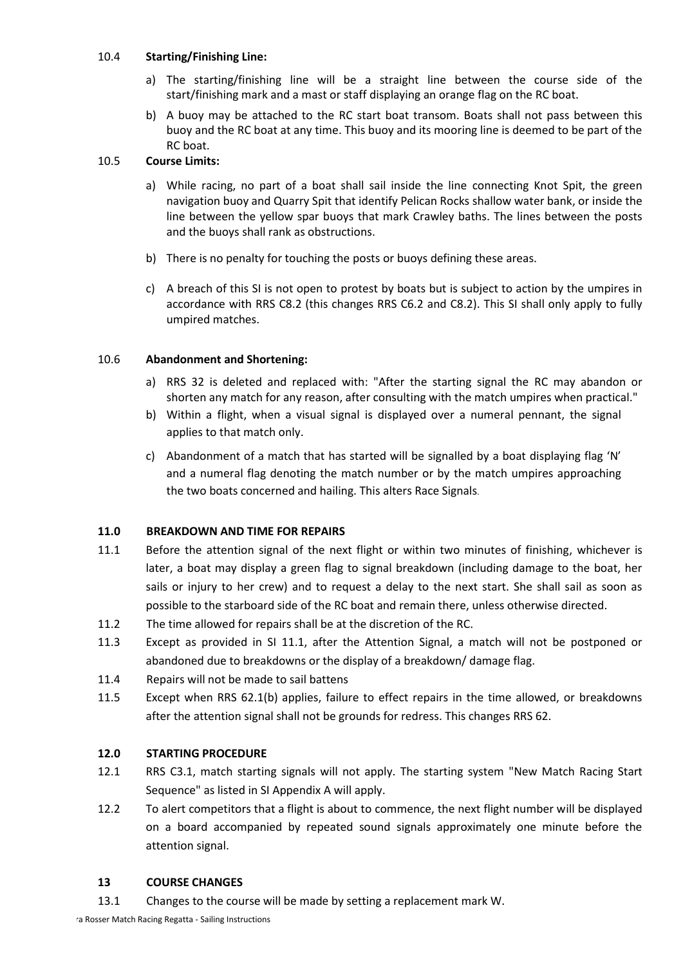# 10.4 **Starting/Finishing Line:**

- a) The starting/finishing line will be a straight line between the course side of the start/finishing mark and a mast or staff displaying an orange flag on the RC boat.
- b) A buoy may be attached to the RC start boat transom. Boats shall not pass between this buoy and the RC boat at any time. This buoy and its mooring line is deemed to be part of the RC boat.

#### 10.5 **Course Limits:**

- a) While racing, no part of a boat shall sail inside the line connecting Knot Spit, the green navigation buoy and Quarry Spit that identify Pelican Rocks shallow water bank, or inside the line between the yellow spar buoys that mark Crawley baths. The lines between the posts and the buoys shall rank as obstructions.
- b) There is no penalty for touching the posts or buoys defining these areas.
- c) A breach of this SI is not open to protest by boats but is subject to action by the umpires in accordance with RRS C8.2 (this changes RRS C6.2 and C8.2). This SI shall only apply to fully umpired matches.

# 10.6 **Abandonment and Shortening:**

- a) RRS 32 is deleted and replaced with: "After the starting signal the RC may abandon or shorten any match for any reason, after consulting with the match umpires when practical."
- b) Within a flight, when a visual signal is displayed over a numeral pennant, the signal applies to that match only.
- c) Abandonment of a match that has started will be signalled by a boat displaying flag 'N' and a numeral flag denoting the match number or by the match umpires approaching the two boats concerned and hailing. This alters Race Signals.

# **11.0 BREAKDOWN AND TIME FOR REPAIRS**

- 11.1 Before the attention signal of the next flight or within two minutes of finishing, whichever is later, a boat may display a green flag to signal breakdown (including damage to the boat, her sails or injury to her crew) and to request a delay to the next start. She shall sail as soon as possible to the starboard side of the RC boat and remain there, unless otherwise directed.
- 11.2 The time allowed for repairs shall be at the discretion of the RC.
- 11.3 Except as provided in SI 11.1, after the Attention Signal, a match will not be postponed or abandoned due to breakdowns or the display of a breakdown/ damage flag.
- 11.4 Repairs will not be made to sail battens
- 11.5 Except when RRS 62.1(b) applies, failure to effect repairs in the time allowed, or breakdowns after the attention signal shall not be grounds for redress. This changes RRS 62.

# **12.0 STARTING PROCEDURE**

- 12.1 RRS C3.1, match starting signals will not apply. The starting system "New Match Racing Start Sequence" as listed in SI Appendix A will apply.
- 12.2 To alert competitors that a flight is about to commence, the next flight number will be displayed on a board accompanied by repeated sound signals approximately one minute before the attention signal.

#### **13 COURSE CHANGES**

13.1 Changes to the course will be made by setting a replacement mark W.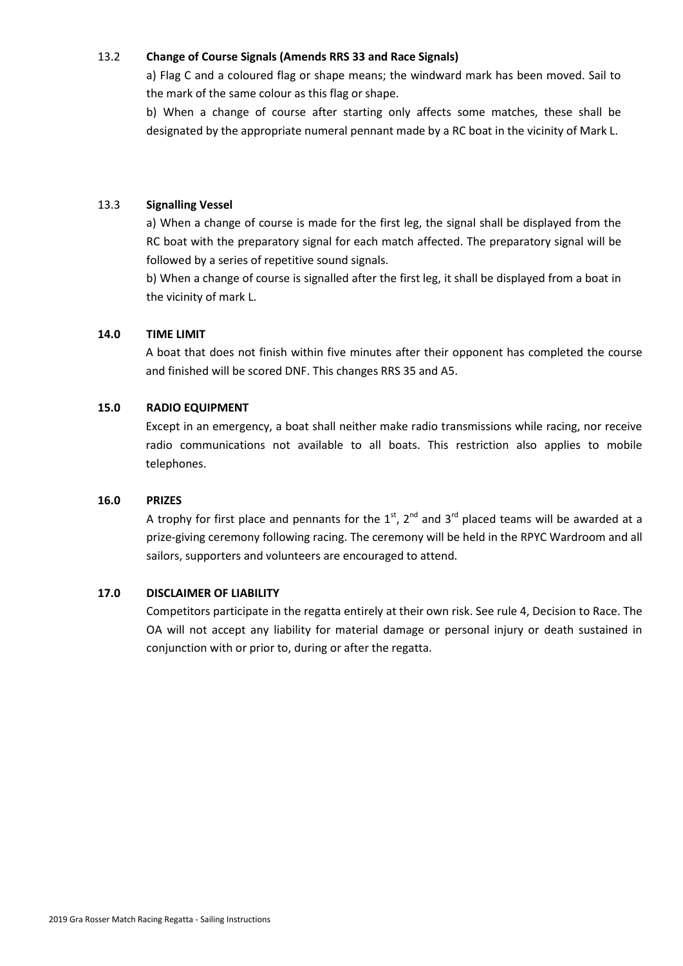# 13.2 **Change of Course Signals (Amends RRS 33 and Race Signals)**

a) Flag C and a coloured flag or shape means; the windward mark has been moved. Sail to the mark of the same colour as this flag or shape.

b) When a change of course after starting only affects some matches, these shall be designated by the appropriate numeral pennant made by a RC boat in the vicinity of Mark L.

#### 13.3 **Signalling Vessel**

a) When a change of course is made for the first leg, the signal shall be displayed from the RC boat with the preparatory signal for each match affected. The preparatory signal will be followed by a series of repetitive sound signals.

b) When a change of course is signalled after the first leg, it shall be displayed from a boat in the vicinity of mark L.

#### **14.0 TIME LIMIT**

A boat that does not finish within five minutes after their opponent has completed the course and finished will be scored DNF. This changes RRS 35 and A5.

#### **15.0 RADIO EQUIPMENT**

Except in an emergency, a boat shall neither make radio transmissions while racing, nor receive radio communications not available to all boats. This restriction also applies to mobile telephones.

#### **16.0 PRIZES**

A trophy for first place and pennants for the  $1<sup>st</sup>$ ,  $2<sup>nd</sup>$  and  $3<sup>rd</sup>$  placed teams will be awarded at a prize-giving ceremony following racing. The ceremony will be held in the RPYC Wardroom and all sailors, supporters and volunteers are encouraged to attend.

#### **17.0 DISCLAIMER OF LIABILITY**

Competitors participate in the regatta entirely at their own risk. See rule 4, Decision to Race. The OA will not accept any liability for material damage or personal injury or death sustained in conjunction with or prior to, during or after the regatta.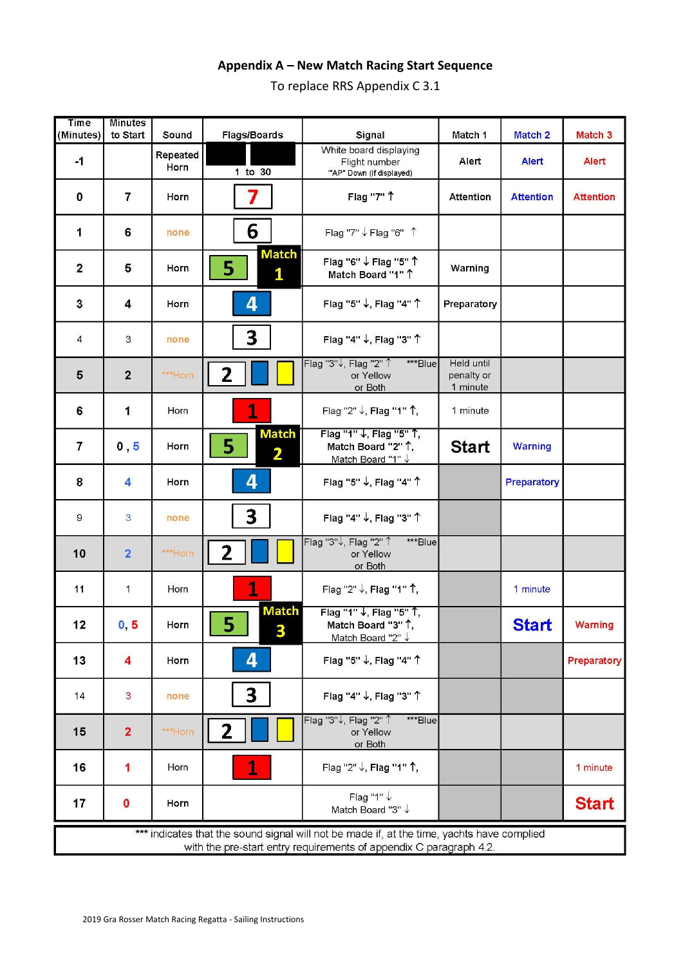# **Appendix A – New Match Racing Start Sequence**

To replace RRS Appendix C 3.1

| <b>Time</b><br>(Minutes)                                                                                                                                         | <b>Minutes</b><br>to Start | Sound            | Flags/Boards                                 | Signal                                                              | Match 1                              | <b>Match 2</b>   | Match <sub>3</sub> |
|------------------------------------------------------------------------------------------------------------------------------------------------------------------|----------------------------|------------------|----------------------------------------------|---------------------------------------------------------------------|--------------------------------------|------------------|--------------------|
| $-1$                                                                                                                                                             |                            | Repeated<br>Horn | $1$ to $30$                                  | White board displaying<br>Flight number<br>"AP" Down (if displayed) | Alert                                | <b>Alert</b>     | Alert              |
| $\mathbf 0$                                                                                                                                                      | $\overline{7}$             | Horn             | 7                                            | Flag "7" 1                                                          | <b>Attention</b>                     | <b>Attention</b> | <b>Attention</b>   |
| 1                                                                                                                                                                | 6                          | none             | 6                                            | Flag "7" ↓ Flag "6" 1                                               |                                      |                  |                    |
| $\mathbf{2}$                                                                                                                                                     | 5                          | Horn             | <b>Match</b><br>5<br>1                       | Flag "6" ↓ Flag "5" 1<br>Match Board "1" 1                          | Warning                              |                  |                    |
| 3                                                                                                                                                                | 4                          | Horn             | 4                                            | Flag "5" ↓, Flag "4" 1                                              | Preparatory                          |                  |                    |
| 4                                                                                                                                                                | 3                          | none             | 3                                            | Flag "4" ↓, Flag "3" ↑                                              |                                      |                  |                    |
| 5                                                                                                                                                                | $\mathbf{2}$               | ***Horn          | 2                                            | Flag "3"↓, Flag "2" 1<br>***Blue<br>or Yellow<br>or Both            | Held until<br>penalty or<br>1 minute |                  |                    |
| 6                                                                                                                                                                | 1                          | Horn             | 1                                            | Flag "2" ↓, Flag "1" ↑,                                             | 1 minute                             |                  |                    |
| $\overline{7}$                                                                                                                                                   | 0, 5                       | Horn             | <b>Match</b><br>5<br>$\overline{\mathbf{2}}$ | Flag "1" ↓, Flag "5" 1,<br>Match Board "2" 1,<br>Match Board "1" V  | <b>Start</b>                         | Warning          |                    |
| 8                                                                                                                                                                | 4                          | Horn             | 4                                            | Flag "5" ↓, Flag "4" 1                                              |                                      | Preparatory      |                    |
| 9                                                                                                                                                                | $\overline{3}$             | none             | 3                                            | Flag "4" ↓, Flag "3" 1                                              |                                      |                  |                    |
| 10                                                                                                                                                               | $\overline{2}$             | ***Horn          | 2                                            | Flag "3"↓, Flag "2" 1<br>***Blue<br>or Yellow<br>or Both            |                                      |                  |                    |
| 11                                                                                                                                                               | 1                          | Horn             | 1                                            | Flag "2" ↓, Flag "1" 1,                                             |                                      | 1 minute         |                    |
| 12                                                                                                                                                               | 0, 5                       | Horn             | <b>Match</b><br>5<br>$\overline{\mathbf{A}}$ | Flag "1" ↓, Flag "5" 1,<br>Match Board "3" 1,<br>Match Board "2" ↓  |                                      | <b>Start</b>     | Warning            |
| 13                                                                                                                                                               | 4                          | Horn             | 4                                            | Flag "5" ↓, Flag "4" 1                                              |                                      |                  | Preparatory        |
| 14                                                                                                                                                               | $\mathbf{3}$               | none             | 3                                            | Flag "4" ↓, Flag "3" 1                                              |                                      |                  |                    |
| 15                                                                                                                                                               | $\overline{2}$             | ***Horn          | 2                                            | Flag "3"↓, Flag "2" 1<br>***Blue<br>or Yellow<br>or Both            |                                      |                  |                    |
| 16                                                                                                                                                               | 1                          | Horn             | 1                                            | Flag "2" ↓, Flag "1" ↑,                                             |                                      |                  | 1 minute           |
| 17                                                                                                                                                               | $\bf{0}$                   | Horn             |                                              | Flag "1" ↓<br>Match Board "3" ↓                                     |                                      |                  | <b>Start</b>       |
| *** indicates that the sound signal will not be made if, at the time, yachts have complied<br>with the pre-start entry requirements of appendix C paragraph 4.2. |                            |                  |                                              |                                                                     |                                      |                  |                    |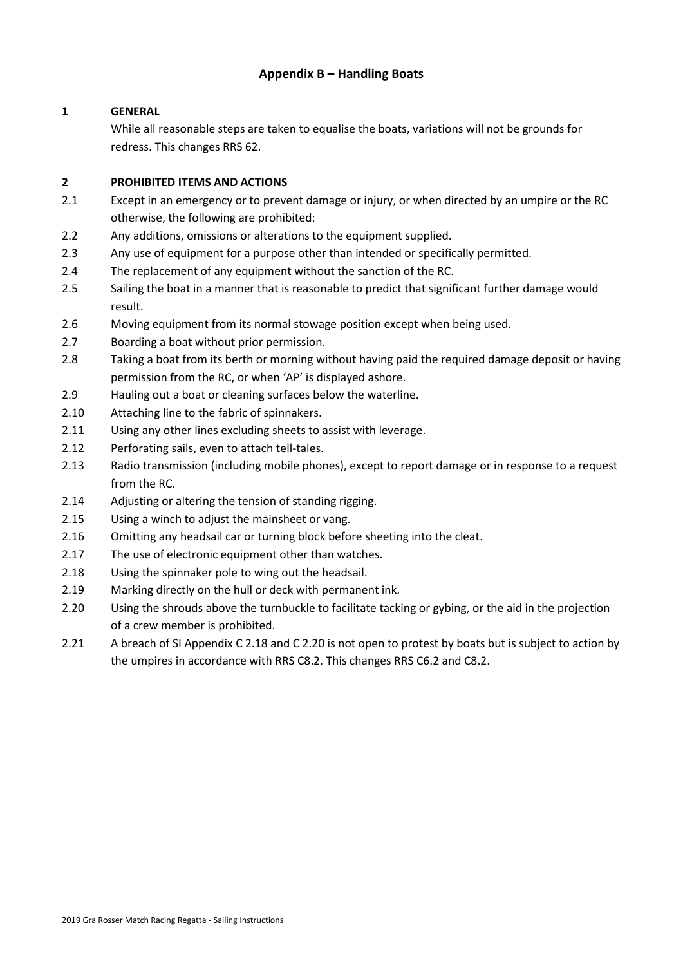# **Appendix B – Handling Boats**

# **1 GENERAL**

While all reasonable steps are taken to equalise the boats, variations will not be grounds for redress. This changes RRS 62.

#### **2 PROHIBITED ITEMS AND ACTIONS**

- 2.1 Except in an emergency or to prevent damage or injury, or when directed by an umpire or the RC otherwise, the following are prohibited:
- 2.2 Any additions, omissions or alterations to the equipment supplied.
- 2.3 Any use of equipment for a purpose other than intended or specifically permitted.
- 2.4 The replacement of any equipment without the sanction of the RC.
- 2.5 Sailing the boat in a manner that is reasonable to predict that significant further damage would result.
- 2.6 Moving equipment from its normal stowage position except when being used.
- 2.7 Boarding a boat without prior permission.
- 2.8 Taking a boat from its berth or morning without having paid the required damage deposit or having permission from the RC, or when 'AP' is displayed ashore.
- 2.9 Hauling out a boat or cleaning surfaces below the waterline.
- 2.10 Attaching line to the fabric of spinnakers.
- 2.11 Using any other lines excluding sheets to assist with leverage.
- 2.12 Perforating sails, even to attach tell-tales.
- 2.13 Radio transmission (including mobile phones), except to report damage or in response to a request from the RC.
- 2.14 Adjusting or altering the tension of standing rigging.
- 2.15 Using a winch to adjust the mainsheet or vang.
- 2.16 Omitting any headsail car or turning block before sheeting into the cleat.
- 2.17 The use of electronic equipment other than watches.
- 2.18 Using the spinnaker pole to wing out the headsail.
- 2.19 Marking directly on the hull or deck with permanent ink.
- 2.20 Using the shrouds above the turnbuckle to facilitate tacking or gybing, or the aid in the projection of a crew member is prohibited.
- 2.21 A breach of SI Appendix C 2.18 and C 2.20 is not open to protest by boats but is subject to action by the umpires in accordance with RRS C8.2. This changes RRS C6.2 and C8.2.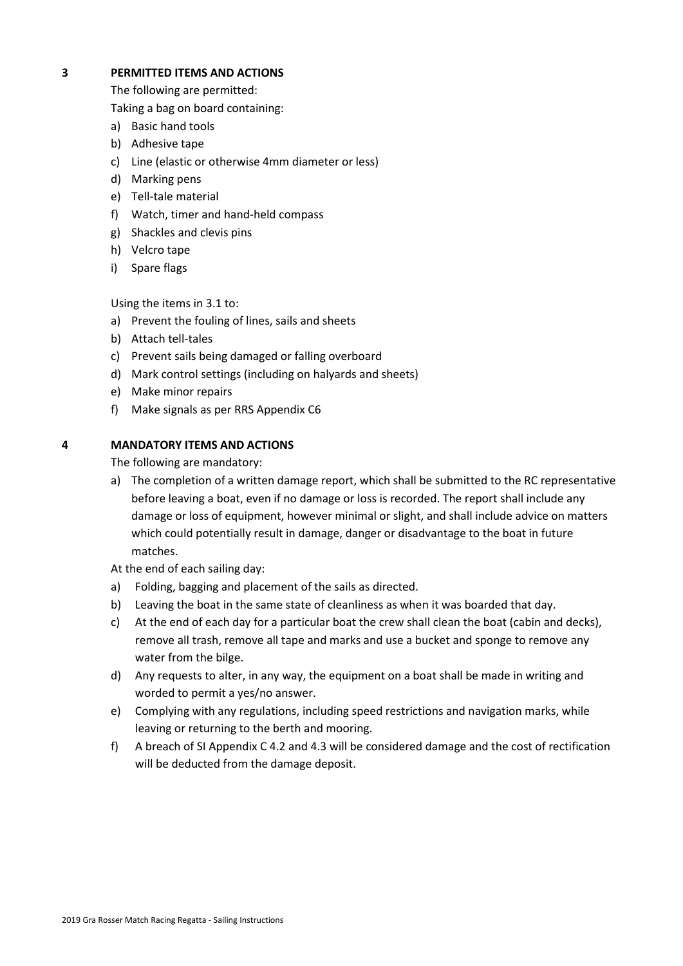#### **3 PERMITTED ITEMS AND ACTIONS**

The following are permitted:

Taking a bag on board containing:

- a) Basic hand tools
- b) Adhesive tape
- c) Line (elastic or otherwise 4mm diameter or less)
- d) Marking pens
- e) Tell-tale material
- f) Watch, timer and hand-held compass
- g) Shackles and clevis pins
- h) Velcro tape
- i) Spare flags

Using the items in 3.1 to:

- a) Prevent the fouling of lines, sails and sheets
- b) Attach tell-tales
- c) Prevent sails being damaged or falling overboard
- d) Mark control settings (including on halyards and sheets)
- e) Make minor repairs
- f) Make signals as per RRS Appendix C6

# **4 MANDATORY ITEMS AND ACTIONS**

The following are mandatory:

a) The completion of a written damage report, which shall be submitted to the RC representative before leaving a boat, even if no damage or loss is recorded. The report shall include any damage or loss of equipment, however minimal or slight, and shall include advice on matters which could potentially result in damage, danger or disadvantage to the boat in future matches.

At the end of each sailing day:

- a) Folding, bagging and placement of the sails as directed.
- b) Leaving the boat in the same state of cleanliness as when it was boarded that day.
- c) At the end of each day for a particular boat the crew shall clean the boat (cabin and decks), remove all trash, remove all tape and marks and use a bucket and sponge to remove any water from the bilge.
- d) Any requests to alter, in any way, the equipment on a boat shall be made in writing and worded to permit a yes/no answer.
- e) Complying with any regulations, including speed restrictions and navigation marks, while leaving or returning to the berth and mooring.
- f) A breach of SI Appendix C 4.2 and 4.3 will be considered damage and the cost of rectification will be deducted from the damage deposit.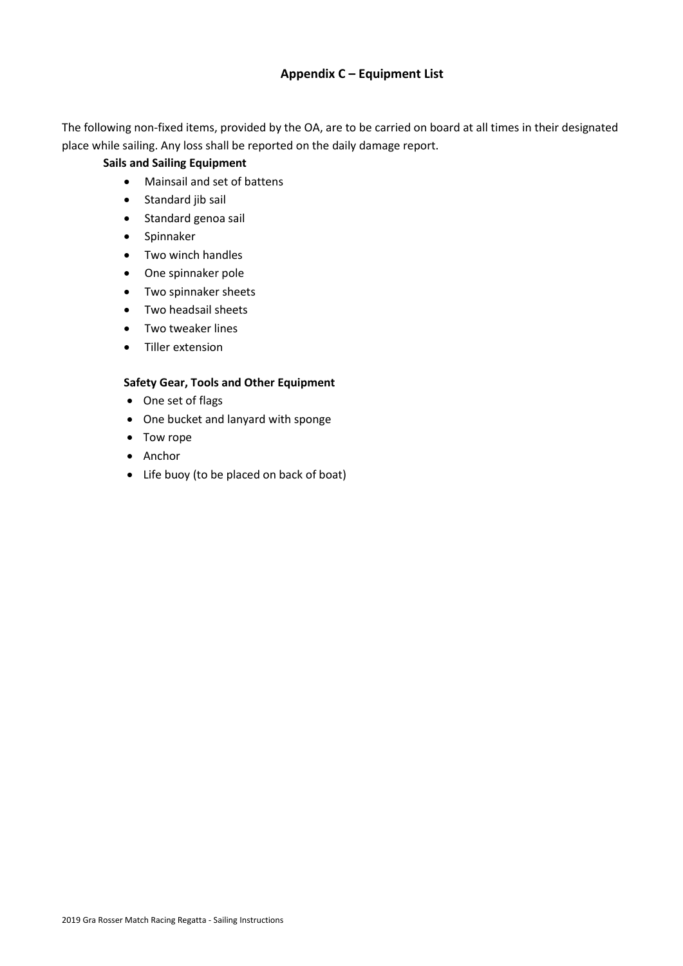# **Appendix C – Equipment List**

The following non-fixed items, provided by the OA, are to be carried on board at all times in their designated place while sailing. Any loss shall be reported on the daily damage report.

#### **Sails and Sailing Equipment**

- Mainsail and set of battens
- Standard jib sail
- Standard genoa sail
- Spinnaker
- Two winch handles
- One spinnaker pole
- Two spinnaker sheets
- Two headsail sheets
- Two tweaker lines
- Tiller extension

#### **Safety Gear, Tools and Other Equipment**

- One set of flags
- One bucket and lanyard with sponge
- Tow rope
- Anchor
- Life buoy (to be placed on back of boat)